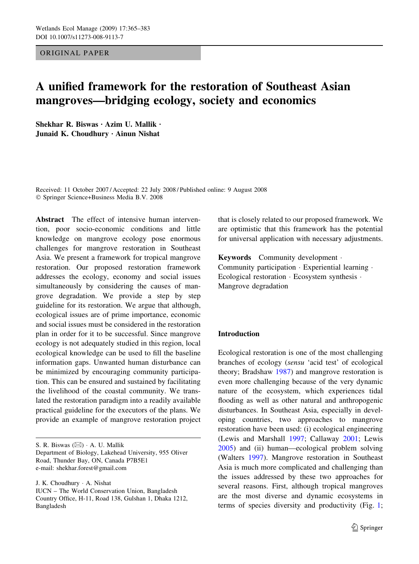ORIGINAL PAPER

# A unified framework for the restoration of Southeast Asian mangroves—bridging ecology, society and economics

Shekhar R. Biswas  $\cdot$  Azim U. Mallik  $\cdot$ Junaid K. Choudhury · Ainun Nishat

Received: 11 October 2007 / Accepted: 22 July 2008 / Published online: 9 August 2008 Springer Science+Business Media B.V. 2008

Abstract The effect of intensive human intervention, poor socio-economic conditions and little knowledge on mangrove ecology pose enormous challenges for mangrove restoration in Southeast Asia. We present a framework for tropical mangrove restoration. Our proposed restoration framework addresses the ecology, economy and social issues simultaneously by considering the causes of mangrove degradation. We provide a step by step guideline for its restoration. We argue that although, ecological issues are of prime importance, economic and social issues must be considered in the restoration plan in order for it to be successful. Since mangrove ecology is not adequately studied in this region, local ecological knowledge can be used to fill the baseline information gaps. Unwanted human disturbance can be minimized by encouraging community participation. This can be ensured and sustained by facilitating the livelihood of the coastal community. We translated the restoration paradigm into a readily available practical guideline for the executors of the plans. We provide an example of mangrove restoration project

S. R. Biswas (⊠) · A. U. Mallik Department of Biology, Lakehead University, 955 Oliver Road, Thunder Bay, ON, Canada P7B5E1 e-mail: shekhar.forest@gmail.com

J. K. Choudhury · A. Nishat IUCN – The World Conservation Union, Bangladesh Country Office, H-11, Road 138, Gulshan 1, Dhaka 1212, Bangladesh

that is closely related to our proposed framework. We are optimistic that this framework has the potential for universal application with necessary adjustments.

Keywords Community development . Community participation · Experiential learning · Ecological restoration · Ecosystem synthesis · Mangrove degradation

# Introduction

Ecological restoration is one of the most challenging branches of ecology (sensu 'acid test' of ecological theory; Bradshaw [1987\)](#page-16-0) and mangrove restoration is even more challenging because of the very dynamic nature of the ecosystem, which experiences tidal flooding as well as other natural and anthropogenic disturbances. In Southeast Asia, especially in developing countries, two approaches to mangrove restoration have been used: (i) ecological engineering (Lewis and Marshall [1997;](#page-17-0) Callaway [2001](#page-17-0); Lewis [2005\)](#page-17-0) and (ii) human—ecological problem solving (Walters [1997](#page-18-0)). Mangrove restoration in Southeast Asia is much more complicated and challenging than the issues addressed by these two approaches for several reasons. First, although tropical mangroves are the most diverse and dynamic ecosystems in terms of species diversity and productivity (Fig. [1](#page-1-0);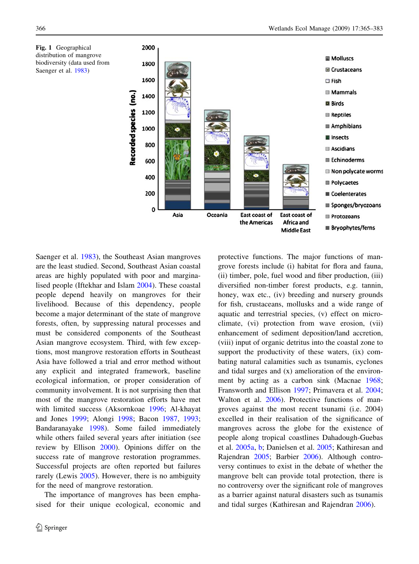<span id="page-1-0"></span>



Saenger et al. [1983](#page-18-0)), the Southeast Asian mangroves are the least studied. Second, Southeast Asian coastal areas are highly populated with poor and marginalised people (Iftekhar and Islam [2004\)](#page-17-0). These coastal people depend heavily on mangroves for their livelihood. Because of this dependency, people become a major determinant of the state of mangrove forests, often, by suppressing natural processes and must be considered components of the Southeast Asian mangrove ecosystem. Third, with few exceptions, most mangrove restoration efforts in Southeast Asia have followed a trial and error method without any explicit and integrated framework, baseline ecological information, or proper consideration of community involvement. It is not surprising then that most of the mangrove restoration efforts have met with limited success (Aksornkoae [1996](#page-16-0); Al-khayat and Jones [1999](#page-16-0); Alongi [1998;](#page-16-0) Bacon [1987,](#page-16-0) [1993](#page-16-0); Bandaranayake [1998\)](#page-16-0). Some failed immediately while others failed several years after initiation (see review by Ellison [2000\)](#page-17-0). Opinions differ on the success rate of mangrove restoration programmes. Successful projects are often reported but failures rarely (Lewis [2005](#page-17-0)). However, there is no ambiguity for the need of mangrove restoration.

The importance of mangroves has been emphasised for their unique ecological, economic and protective functions. The major functions of mangrove forests include (i) habitat for flora and fauna, (ii) timber, pole, fuel wood and fiber production, (iii) diversified non-timber forest products, e.g. tannin, honey, wax etc., (iv) breeding and nursery grounds for fish, crustaceans, mollusks and a wide range of aquatic and terrestrial species, (v) effect on microclimate, (vi) protection from wave erosion, (vii) enhancement of sediment deposition/land accretion, (viii) input of organic detritus into the coastal zone to support the productivity of these waters, (ix) combating natural calamities such as tsunamis, cyclones and tidal surges and (x) amelioration of the environ-ment by acting as a carbon sink (Macnae [1968](#page-17-0); Fransworth and Ellison [1997](#page-17-0); Primavera et al. [2004](#page-17-0); Walton et al. [2006\)](#page-18-0). Protective functions of mangroves against the most recent tsunami (i.e. 2004) excelled in their realisation of the significance of mangroves across the globe for the existence of people along tropical coastlines Dahadough-Guebas et al. [2005a](#page-17-0), [b;](#page-17-0) Danielsen et al. [2005;](#page-17-0) Kathiresan and Rajendran [2005;](#page-17-0) Barbier [2006](#page-16-0)). Although controversy continues to exist in the debate of whether the mangrove belt can provide total protection, there is no controversy over the significant role of mangroves as a barrier against natural disasters such as tsunamis and tidal surges (Kathiresan and Rajendran [2006\)](#page-17-0).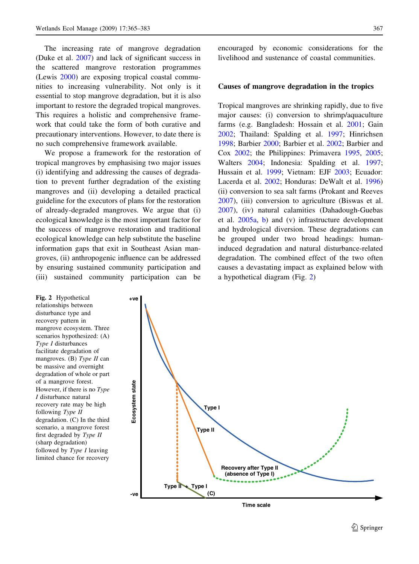<span id="page-2-0"></span>The increasing rate of mangrove degradation (Duke et al. [2007](#page-17-0)) and lack of significant success in the scattered mangrove restoration programmes (Lewis [2000\)](#page-17-0) are exposing tropical coastal communities to increasing vulnerability. Not only is it essential to stop mangrove degradation, but it is also important to restore the degraded tropical mangroves. This requires a holistic and comprehensive framework that could take the form of both curative and precautionary interventions. However, to date there is no such comprehensive framework available.

We propose a framework for the restoration of tropical mangroves by emphasising two major issues (i) identifying and addressing the causes of degradation to prevent further degradation of the existing mangroves and (ii) developing a detailed practical guideline for the executors of plans for the restoration of already-degraded mangroves. We argue that (i) ecological knowledge is the most important factor for the success of mangrove restoration and traditional ecological knowledge can help substitute the baseline information gaps that exit in Southeast Asian mangroves, (ii) anthropogenic influence can be addressed by ensuring sustained community participation and (iii) sustained community participation can be

encouraged by economic considerations for the livelihood and sustenance of coastal communities.

### Causes of mangrove degradation in the tropics

Tropical mangroves are shrinking rapidly, due to five major causes: (i) conversion to shrimp/aquaculture farms (e.g. Bangladesh: Hossain et al. [2001](#page-17-0); Gain [2002;](#page-17-0) Thailand: Spalding et al. [1997;](#page-18-0) Hinrichsen [1998;](#page-17-0) Barbier [2000](#page-16-0); Barbier et al. [2002;](#page-16-0) Barbier and Cox [2002](#page-16-0); the Philippines: Primavera [1995](#page-17-0), [2005](#page-17-0); Walters [2004](#page-18-0); Indonesia: Spalding et al. [1997](#page-18-0); Hussain et al. [1999;](#page-17-0) Vietnam: EJF [2003;](#page-17-0) Ecuador: Lacerda et al. [2002;](#page-17-0) Honduras: DeWalt et al. [1996\)](#page-17-0) (ii) conversion to sea salt farms (Prokant and Reeves [2007\)](#page-17-0), (iii) conversion to agriculture (Biswas et al. [2007\)](#page-16-0), (iv) natural calamities (Dahadough-Guebas et al. [2005a](#page-17-0), [b](#page-17-0)) and (v) infrastructure development and hydrological diversion. These degradations can be grouped under two broad headings: humaninduced degradation and natural disturbance-related degradation. The combined effect of the two often causes a devastating impact as explained below with a hypothetical diagram (Fig. 2)

Fig. 2 Hypothetical **+ve** relationships between disturbance type and recovery pattern in mangrove ecosystem. Three scenarios hypothesized: (A) Type I disturbances facilitate degradation of mangroves. (B)  $Type II$  can be massive and overnight degradation of whole or part of a mangrove forest. However, if there is no Type I disturbance natural recovery rate may be high following Type II degradation. (C) In the third scenario, a mangrove forest first degraded by Type II (sharp degradation) followed by  $Type\ I$  leaving limited chance for recovery



**Time scale**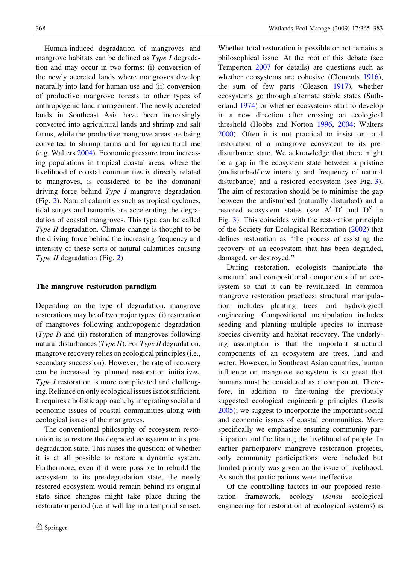Human-induced degradation of mangroves and mangrove habitats can be defined as Type I degradation and may occur in two forms: (i) conversion of the newly accreted lands where mangroves develop naturally into land for human use and (ii) conversion of productive mangrove forests to other types of anthropogenic land management. The newly accreted lands in Southeast Asia have been increasingly converted into agricultural lands and shrimp and salt farms, while the productive mangrove areas are being converted to shrimp farms and for agricultural use (e.g. Walters [2004\)](#page-18-0). Economic pressure from increasing populations in tropical coastal areas, where the livelihood of coastal communities is directly related to mangroves, is considered to be the dominant driving force behind Type I mangrove degradation (Fig. [2](#page-2-0)). Natural calamities such as tropical cyclones, tidal surges and tsunamis are accelerating the degradation of coastal mangroves. This type can be called Type II degradation. Climate change is thought to be the driving force behind the increasing frequency and intensity of these sorts of natural calamities causing Type II degradation (Fig. [2\)](#page-2-0).

### The mangrove restoration paradigm

Depending on the type of degradation, mangrove restorations may be of two major types: (i) restoration of mangroves following anthropogenic degradation (Type I) and (ii) restoration of mangroves following natural disturbances (*Type II*). For *Type II* degradation, mangrove recovery relies on ecological principles (i.e., secondary succession). However, the rate of recovery can be increased by planned restoration initiatives. Type I restoration is more complicated and challenging. Reliance on only ecological issues is not sufficient. It requires a holistic approach, by integrating social and economic issues of coastal communities along with ecological issues of the mangroves.

The conventional philosophy of ecosystem restoration is to restore the degraded ecosystem to its predegradation state. This raises the question: of whether it is at all possible to restore a dynamic system. Furthermore, even if it were possible to rebuild the ecosystem to its pre-degradation state, the newly restored ecosystem would remain behind its original state since changes might take place during the restoration period (i.e. it will lag in a temporal sense).

Whether total restoration is possible or not remains a philosophical issue. At the root of this debate (see Temperton [2007](#page-18-0) for details) are questions such as whether ecosystems are cohesive (Clements [1916](#page-17-0)), the sum of few parts (Gleason [1917](#page-17-0)), whether ecosystems go through alternate stable states (Sutherland [1974](#page-18-0)) or whether ecosystems start to develop in a new direction after crossing an ecological threshold (Hobbs and Norton [1996,](#page-17-0) [2004](#page-17-0); Walters [2000\)](#page-18-0). Often it is not practical to insist on total restoration of a mangrove ecosystem to its predisturbance state. We acknowledge that there might be a gap in the ecosystem state between a pristine (undisturbed/low intensity and frequency of natural disturbance) and a restored ecosystem (see Fig. [3](#page-4-0)). The aim of restoration should be to minimise the gap between the undisturbed (naturally disturbed) and a restored ecosystem states (see  $A' - D'$  and  $D''$  in Fig. [3\)](#page-4-0). This coincides with the restoration principle of the Society for Ecological Restoration ([2002\)](#page-18-0) that defines restoration as ''the process of assisting the recovery of an ecosystem that has been degraded, damaged, or destroyed.''

During restoration, ecologists manipulate the structural and compositional components of an ecosystem so that it can be revitalized. In common mangrove restoration practices; structural manipulation includes planting trees and hydrological engineering. Compositional manipulation includes seeding and planting multiple species to increase species diversity and habitat recovery. The underlying assumption is that the important structural components of an ecosystem are trees, land and water. However, in Southeast Asian countries, human influence on mangrove ecosystem is so great that humans must be considered as a component. Therefore, in addition to fine-tuning the previously suggested ecological engineering principles (Lewis [2005\)](#page-17-0); we suggest to incorporate the important social and economic issues of coastal communities. More specifically we emphasize ensuring community participation and facilitating the livelihood of people. In earlier participatory mangrove restoration projects, only community participations were included but limited priority was given on the issue of livelihood. As such the participations were ineffective.

Of the controlling factors in our proposed restoration framework, ecology (sensu ecological engineering for restoration of ecological systems) is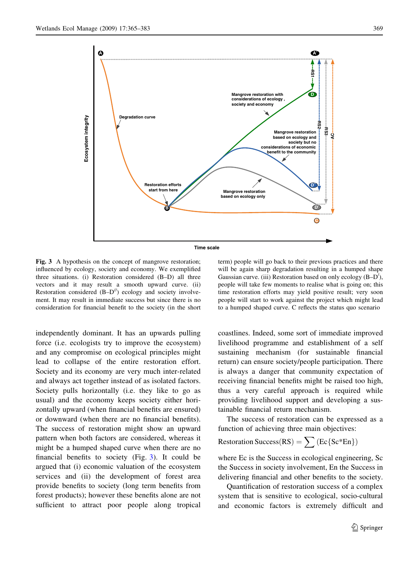<span id="page-4-0"></span>



Fig. 3 A hypothesis on the concept of mangrove restoration; influenced by ecology, society and economy. We exemplified three situations. (i) Restoration considered (B–D) all three vectors and it may result a smooth upward curve. (ii) Restoration considered  $(B-D'')$  ecology and society involvement. It may result in immediate success but since there is no consideration for financial benefit to the society (in the short

independently dominant. It has an upwards pulling force (i.e. ecologists try to improve the ecosystem) and any compromise on ecological principles might lead to collapse of the entire restoration effort. Society and its economy are very much inter-related and always act together instead of as isolated factors. Society pulls horizontally (i.e. they like to go as usual) and the economy keeps society either horizontally upward (when financial benefits are ensured) or downward (when there are no financial benefits). The success of restoration might show an upward pattern when both factors are considered, whereas it might be a humped shaped curve when there are no financial benefits to society (Fig. 3). It could be argued that (i) economic valuation of the ecosystem services and (ii) the development of forest area provide benefits to society (long term benefits from forest products); however these benefits alone are not sufficient to attract poor people along tropical

term) people will go back to their previous practices and there will be again sharp degradation resulting in a humped shape Gaussian curve. (iii) Restoration based on only ecology (B-D<sup>'</sup>), people will take few moments to realise what is going on; this time restoration efforts may yield positive result; very soon people will start to work against the project which might lead to a humped shaped curve. C reflects the status quo scenario

coastlines. Indeed, some sort of immediate improved livelihood programme and establishment of a self sustaining mechanism (for sustainable financial return) can ensure society/people participation. There is always a danger that community expectation of receiving financial benefits might be raised too high, thus a very careful approach is required while providing livelihood support and developing a sustainable financial return mechanism.

The success of restoration can be expressed as a function of achieving three main objectives:

$$
Restoration Success(RS) = \sum (Ec\{Sc*En\})
$$

where Ec is the Success in ecological engineering, Sc the Success in society involvement, En the Success in delivering financial and other benefits to the society.

Quantification of restoration success of a complex system that is sensitive to ecological, socio-cultural and economic factors is extremely difficult and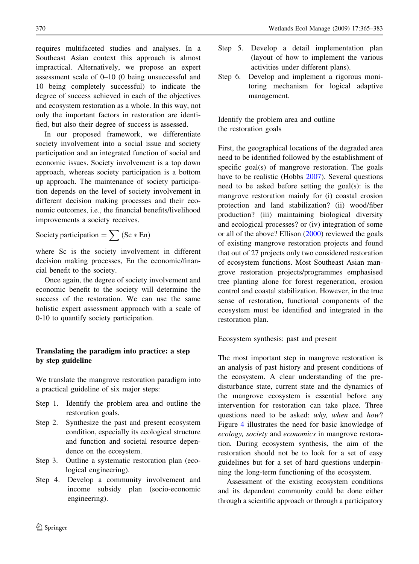requires multifaceted studies and analyses. In a Southeast Asian context this approach is almost impractical. Alternatively, we propose an expert assessment scale of 0–10 (0 being unsuccessful and 10 being completely successful) to indicate the degree of success achieved in each of the objectives and ecosystem restoration as a whole. In this way, not only the important factors in restoration are identified, but also their degree of success is assessed.

In our proposed framework, we differentiate society involvement into a social issue and society participation and an integrated function of social and economic issues. Society involvement is a top down approach, whereas society participation is a bottom up approach. The maintenance of society participation depends on the level of society involvement in different decision making processes and their economic outcomes, i.e., the financial benefits/livelihood improvements a society receives.

Society participation =  $\sum$  (Sc  $*$  En)

where Sc is the society involvement in different decision making processes, En the economic/financial benefit to the society.

Once again, the degree of society involvement and economic benefit to the society will determine the success of the restoration. We can use the same holistic expert assessment approach with a scale of 0-10 to quantify society participation.

# Translating the paradigm into practice: a step by step guideline

We translate the mangrove restoration paradigm into a practical guideline of six major steps:

- Step 1. Identify the problem area and outline the restoration goals.
- Step 2. Synthesize the past and present ecosystem condition, especially its ecological structure and function and societal resource dependence on the ecosystem.
- Step 3. Outline a systematic restoration plan (ecological engineering).
- Step 4. Develop a community involvement and income subsidy plan (socio-economic engineering).
- 370 Wetlands Ecol Manage (2009) 17:365–383
	- Step 5. Develop a detail implementation plan (layout of how to implement the various activities under different plans).
	- Step 6. Develop and implement a rigorous monitoring mechanism for logical adaptive management.

Identify the problem area and outline the restoration goals

First, the geographical locations of the degraded area need to be identified followed by the establishment of specific goal(s) of mangrove restoration. The goals have to be realistic (Hobbs [2007\)](#page-17-0). Several questions need to be asked before setting the goal(s): is the mangrove restoration mainly for (i) coastal erosion protection and land stabilization? (ii) wood/fiber production? (iii) maintaining biological diversity and ecological processes? or (iv) integration of some or all of the above? Ellison [\(2000](#page-17-0)) reviewed the goals of existing mangrove restoration projects and found that out of 27 projects only two considered restoration of ecosystem functions. Most Southeast Asian mangrove restoration projects/programmes emphasised tree planting alone for forest regeneration, erosion control and coastal stabilization. However, in the true sense of restoration, functional components of the ecosystem must be identified and integrated in the restoration plan.

Ecosystem synthesis: past and present

The most important step in mangrove restoration is an analysis of past history and present conditions of the ecosystem. A clear understanding of the predisturbance state, current state and the dynamics of the mangrove ecosystem is essential before any intervention for restoration can take place. Three questions need to be asked: why, when and how? Figure [4](#page-6-0) illustrates the need for basic knowledge of ecology, society and economics in mangrove restoration. During ecosystem synthesis, the aim of the restoration should not be to look for a set of easy guidelines but for a set of hard questions underpinning the long-term functioning of the ecosystem.

Assessment of the existing ecosystem conditions and its dependent community could be done either through a scientific approach or through a participatory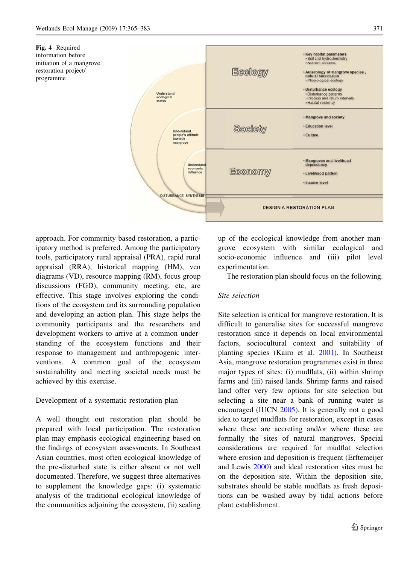<span id="page-6-0"></span>Fig. 4 Required information before initiation of a mangrove restoration project/ programme



approach. For community based restoration, a participatory method is preferred. Among the participatory tools, participatory rural appraisal (PRA), rapid rural appraisal (RRA), historical mapping (HM), ven diagrams (VD), resource mapping (RM), focus group discussions (FGD), community meeting, etc, are effective. This stage involves exploring the conditions of the ecosystem and its surrounding population and developing an action plan. This stage helps the community participants and the researchers and development workers to arrive at a common understanding of the ecosystem functions and their response to management and anthropogenic interventions. A common goal of the ecosystem sustainability and meeting societal needs must be achieved by this exercise.

### Development of a systematic restoration plan

A well thought out restoration plan should be prepared with local participation. The restoration plan may emphasis ecological engineering based on the findings of ecosystem assessments. In Southeast Asian countries, most often ecological knowledge of the pre-disturbed state is either absent or not well documented. Therefore, we suggest three alternatives to supplement the knowledge gaps: (i) systematic analysis of the traditional ecological knowledge of the communities adjoining the ecosystem, (ii) scaling

up of the ecological knowledge from another mangrove ecosystem with similar ecological and socio-economic influence and (iii) pilot level experimentation.

The restoration plan should focus on the following.

# Site selection

Site selection is critical for mangrove restoration. It is difficult to generalise sites for successful mangrove restoration since it depends on local environmental factors, sociocultural context and suitability of planting species (Kairo et al. [2001\)](#page-17-0). In Southeast Asia, mangrove restoration programmes exist in three major types of sites: (i) mudflats, (ii) within shrimp farms and (iii) raised lands. Shrimp farms and raised land offer very few options for site selection but selecting a site near a bank of running water is encouraged (IUCN [2005\)](#page-17-0). It is generally not a good idea to target mudflats for restoration, except in cases where these are accreting and/or where these are formally the sites of natural mangroves. Special considerations are required for mudflat selection where erosion and deposition is frequent (Erftemeijer and Lewis [2000](#page-17-0)) and ideal restoration sites must be on the deposition site. Within the deposition site, substrates should be stable mudflats as fresh depositions can be washed away by tidal actions before plant establishment.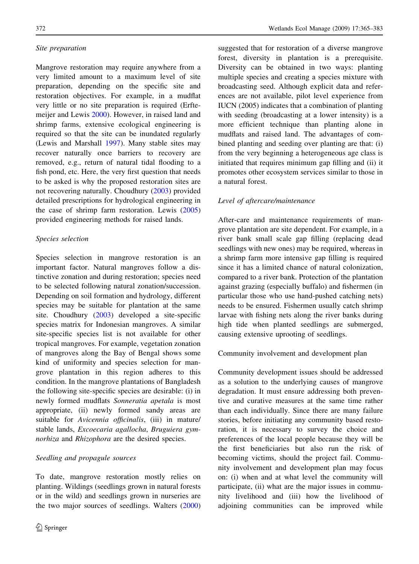# Site preparation

Mangrove restoration may require anywhere from a very limited amount to a maximum level of site preparation, depending on the specific site and restoration objectives. For example, in a mudflat very little or no site preparation is required (Erftemeijer and Lewis [2000\)](#page-17-0). However, in raised land and shrimp farms, extensive ecological engineering is required so that the site can be inundated regularly (Lewis and Marshall [1997](#page-17-0)). Many stable sites may recover naturally once barriers to recovery are removed, e.g., return of natural tidal flooding to a fish pond, etc. Here, the very first question that needs to be asked is why the proposed restoration sites are not recovering naturally. Choudhury [\(2003](#page-17-0)) provided detailed prescriptions for hydrological engineering in the case of shrimp farm restoration. Lewis ([2005\)](#page-17-0) provided engineering methods for raised lands.

### Species selection

Species selection in mangrove restoration is an important factor. Natural mangroves follow a distinctive zonation and during restoration; species need to be selected following natural zonation/succession. Depending on soil formation and hydrology, different species may be suitable for plantation at the same site. Choudhury [\(2003](#page-17-0)) developed a site-specific species matrix for Indonesian mangroves. A similar site-specific species list is not available for other tropical mangroves. For example, vegetation zonation of mangroves along the Bay of Bengal shows some kind of uniformity and species selection for mangrove plantation in this region adheres to this condition. In the mangrove plantations of Bangladesh the following site-specific species are desirable: (i) in newly formed mudflats Sonneratia apetala is most appropriate, (ii) newly formed sandy areas are suitable for Avicennia officinalis, (iii) in mature/ stable lands, Excoecaria agallocha, Bruguiera gymnorhiza and Rhizophora are the desired species.

# Seedling and propagule sources

To date, mangrove restoration mostly relies on planting. Wildings (seedlings grown in natural forests or in the wild) and seedlings grown in nurseries are the two major sources of seedlings. Walters ([2000\)](#page-18-0) suggested that for restoration of a diverse mangrove forest, diversity in plantation is a prerequisite. Diversity can be obtained in two ways: planting multiple species and creating a species mixture with broadcasting seed. Although explicit data and references are not available, pilot level experience from IUCN (2005) indicates that a combination of planting with seeding (broadcasting at a lower intensity) is a more efficient technique than planting alone in mudflats and raised land. The advantages of combined planting and seeding over planting are that: (i) from the very beginning a heterogeneous age class is initiated that requires minimum gap filling and (ii) it promotes other ecosystem services similar to those in a natural forest.

# Level of aftercare/maintenance

After-care and maintenance requirements of mangrove plantation are site dependent. For example, in a river bank small scale gap filling (replacing dead seedlings with new ones) may be required, whereas in a shrimp farm more intensive gap filling is required since it has a limited chance of natural colonization, compared to a river bank. Protection of the plantation against grazing (especially buffalo) and fishermen (in particular those who use hand-pushed catching nets) needs to be ensured. Fishermen usually catch shrimp larvae with fishing nets along the river banks during high tide when planted seedlings are submerged, causing extensive uprooting of seedlings.

Community involvement and development plan

Community development issues should be addressed as a solution to the underlying causes of mangrove degradation. It must ensure addressing both preventive and curative measures at the same time rather than each individually. Since there are many failure stories, before initiating any community based restoration, it is necessary to survey the choice and preferences of the local people because they will be the first beneficiaries but also run the risk of becoming victims, should the project fail. Community involvement and development plan may focus on: (i) when and at what level the community will participate, (ii) what are the major issues in community livelihood and (iii) how the livelihood of adjoining communities can be improved while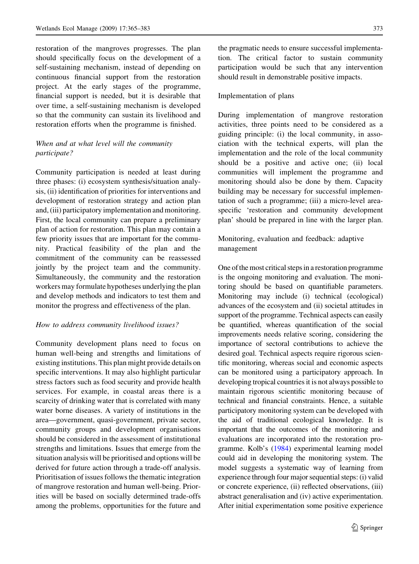restoration of the mangroves progresses. The plan should specifically focus on the development of a self-sustaining mechanism, instead of depending on continuous financial support from the restoration project. At the early stages of the programme, financial support is needed, but it is desirable that over time, a self-sustaining mechanism is developed so that the community can sustain its livelihood and restoration efforts when the programme is finished.

# When and at what level will the community participate?

Community participation is needed at least during three phases: (i) ecosystem synthesis/situation analysis, (ii) identification of priorities for interventions and development of restoration strategy and action plan and, (iii) participatory implementation and monitoring. First, the local community can prepare a preliminary plan of action for restoration. This plan may contain a few priority issues that are important for the community. Practical feasibility of the plan and the commitment of the community can be reassessed jointly by the project team and the community. Simultaneously, the community and the restoration workers may formulate hypotheses underlying the plan and develop methods and indicators to test them and monitor the progress and effectiveness of the plan.

### How to address community livelihood issues?

Community development plans need to focus on human well-being and strengths and limitations of existing institutions. This plan might provide details on specific interventions. It may also highlight particular stress factors such as food security and provide health services. For example, in coastal areas there is a scarcity of drinking water that is correlated with many water borne diseases. A variety of institutions in the area—government, quasi-government, private sector, community groups and development organisations should be considered in the assessment of institutional strengths and limitations. Issues that emerge from the situation analysis will be prioritised and options will be derived for future action through a trade-off analysis. Prioritisation of issues follows the thematic integration of mangrove restoration and human well-being. Priorities will be based on socially determined trade-offs among the problems, opportunities for the future and

the pragmatic needs to ensure successful implementation. The critical factor to sustain community participation would be such that any intervention should result in demonstrable positive impacts.

### Implementation of plans

During implementation of mangrove restoration activities, three points need to be considered as a guiding principle: (i) the local community, in association with the technical experts, will plan the implementation and the role of the local community should be a positive and active one; (ii) local communities will implement the programme and monitoring should also be done by them. Capacity building may be necessary for successful implementation of such a programme; (iii) a micro-level areaspecific 'restoration and community development plan' should be prepared in line with the larger plan.

Monitoring, evaluation and feedback: adaptive management

One of the most critical steps in a restoration programme is the ongoing monitoring and evaluation. The monitoring should be based on quantifiable parameters. Monitoring may include (i) technical (ecological) advances of the ecosystem and (ii) societal attitudes in support of the programme. Technical aspects can easily be quantified, whereas quantification of the social improvements needs relative scoring, considering the importance of sectoral contributions to achieve the desired goal. Technical aspects require rigorous scientific monitoring, whereas social and economic aspects can be monitored using a participatory approach. In developing tropical countries it is not always possible to maintain rigorous scientific monitoring because of technical and financial constraints. Hence, a suitable participatory monitoring system can be developed with the aid of traditional ecological knowledge. It is important that the outcomes of the monitoring and evaluations are incorporated into the restoration programme. Kolb's [\(1984](#page-17-0)) experimental learning model could aid in developing the monitoring system. The model suggests a systematic way of learning from experience through four major sequential steps: (i) valid or concrete experience, (ii) reflected observations, (iii) abstract generalisation and (iv) active experimentation. After initial experimentation some positive experience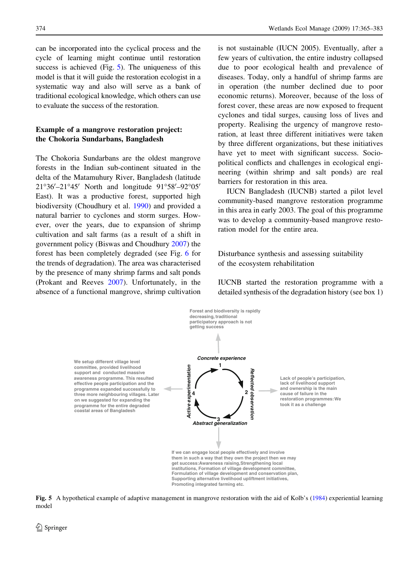can be incorporated into the cyclical process and the cycle of learning might continue until restoration success is achieved (Fig. 5). The uniqueness of this model is that it will guide the restoration ecologist in a systematic way and also will serve as a bank of traditional ecological knowledge, which others can use to evaluate the success of the restoration.

# Example of a mangrove restoration project: the Chokoria Sundarbans, Bangladesh

The Chokoria Sundarbans are the oldest mangrove forests in the Indian sub-continent situated in the delta of the Matamuhury River, Bangladesh (latitude  $21^{\circ}36' - 21^{\circ}45'$  North and longitude  $91^{\circ}58' - 92^{\circ}05'$ East). It was a productive forest, supported high biodiversity (Choudhury et al. [1990\)](#page-17-0) and provided a natural barrier to cyclones and storm surges. However, over the years, due to expansion of shrimp cultivation and salt farms (as a result of a shift in government policy (Biswas and Choudhury [2007](#page-16-0)) the forest has been completely degraded (see Fig. [6](#page-10-0) for the trends of degradation). The area was characterised by the presence of many shrimp farms and salt ponds (Prokant and Reeves [2007](#page-17-0)). Unfortunately, in the absence of a functional mangrove, shrimp cultivation is not sustainable (IUCN 2005). Eventually, after a few years of cultivation, the entire industry collapsed due to poor ecological health and prevalence of diseases. Today, only a handful of shrimp farms are in operation (the number declined due to poor economic returns). Moreover, because of the loss of forest cover, these areas are now exposed to frequent cyclones and tidal surges, causing loss of lives and property. Realising the urgency of mangrove restoration, at least three different initiatives were taken by three different organizations, but these initiatives have yet to meet with significant success. Sociopolitical conflicts and challenges in ecological engineering (within shrimp and salt ponds) are real barriers for restoration in this area.

IUCN Bangladesh (IUCNB) started a pilot level community-based mangrove restoration programme in this area in early 2003. The goal of this programme was to develop a community-based mangrove restoration model for the entire area.

Disturbance synthesis and assessing suitability of the ecosystem rehabilitation

IUCNB started the restoration programme with a detailed synthesis of the degradation history (see box 1)



Fig. 5 A hypothetical example of adaptive management in mangrove restoration with the aid of Kolb's ([1984\)](#page-17-0) experiential learning model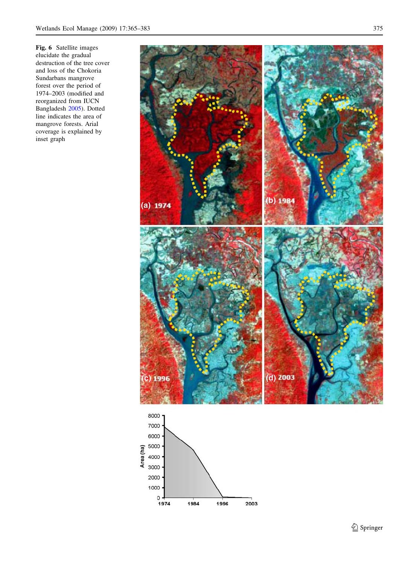<span id="page-10-0"></span>Fig. 6 Satellite images elucidate the gradual destruction of the tree cover and loss of the Chokoria Sundarbans mangrove forest over the period of 1974–2003 (modified and reorganized from IUCN Bangladesh [2005](#page-17-0)). Dotted line indicates the area of mangrove forests. Arial coverage is explained by inset graph



1996

1984

1974

2003

<sup>2</sup> Springer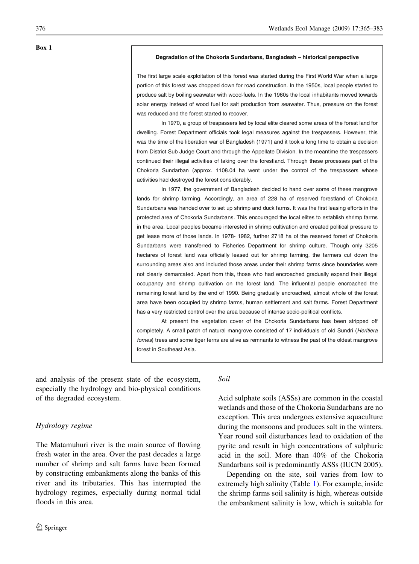Box 1

#### **Degradation of the Chokoria Sundarbans, Bangladesh – historical perspective**

The first large scale exploitation of this forest was started during the First World War when a large portion of this forest was chopped down for road construction. In the 1950s, local people started to produce salt by boiling seawater with wood-fuels. In the 1960s the local inhabitants moved towards solar energy instead of wood fuel for salt production from seawater. Thus, pressure on the forest was reduced and the forest started to recover.

In 1970, a group of trespassers led by local elite cleared some areas of the forest land for dwelling. Forest Department officials took legal measures against the trespassers. However, this was the time of the liberation war of Bangladesh (1971) and it took a long time to obtain a decision from District Sub Judge Court and through the Appellate Division. In the meantime the trespassers continued their illegal activities of taking over the forestland. Through these processes part of the Chokoria Sundarban (approx. 1108.04 ha went under the control of the trespassers whose activities had destroyed the forest considerably.

In 1977, the government of Bangladesh decided to hand over some of these mangrove lands for shrimp farming. Accordingly, an area of 228 ha of reserved forestland of Chokoria Sundarbans was handed over to set up shrimp and duck farms. It was the first leasing efforts in the protected area of Chokoria Sundarbans. This encouraged the local elites to establish shrimp farms in the area. Local peoples became interested in shrimp cultivation and created political pressure to get lease more of those lands. In 1978- 1982, further 2718 ha of the reserved forest of Chokoria Sundarbans were transferred to Fisheries Department for shrimp culture. Though only 3205 hectares of forest land was officially leased out for shrimp farming, the farmers cut down the surrounding areas also and included those areas under their shrimp farms since boundaries were not clearly demarcated. Apart from this, those who had encroached gradually expand their illegal occupancy and shrimp cultivation on the forest land. The influential people encroached the remaining forest land by the end of 1990. Being gradually encroached, almost whole of the forest area have been occupied by shrimp farms, human settlement and salt farms. Forest Department has a very restricted control over the area because of intense socio-political conflicts.

At present the vegetation cover of the Chokoria Sundarbans has been stripped off completely. A small patch of natural mangrove consisted of 17 individuals of old Sundri (*Heritiera fomes*) trees and some tiger ferns are alive as remnants to witness the past of the oldest mangrove forest in Southeast Asia.

and analysis of the present state of the ecosystem, especially the hydrology and bio-physical conditions of the degraded ecosystem.

### Hydrology regime

The Matamuhuri river is the main source of flowing fresh water in the area. Over the past decades a large number of shrimp and salt farms have been formed by constructing embankments along the banks of this river and its tributaries. This has interrupted the hydrology regimes, especially during normal tidal floods in this area.

# Soil

Acid sulphate soils (ASSs) are common in the coastal wetlands and those of the Chokoria Sundarbans are no exception. This area undergoes extensive aquaculture during the monsoons and produces salt in the winters. Year round soil disturbances lead to oxidation of the pyrite and result in high concentrations of sulphuric acid in the soil. More than 40% of the Chokoria Sundarbans soil is predominantly ASSs (IUCN 2005).

Depending on the site, soil varies from low to extremely high salinity (Table [1\)](#page-12-0). For example, inside the shrimp farms soil salinity is high, whereas outside the embankment salinity is low, which is suitable for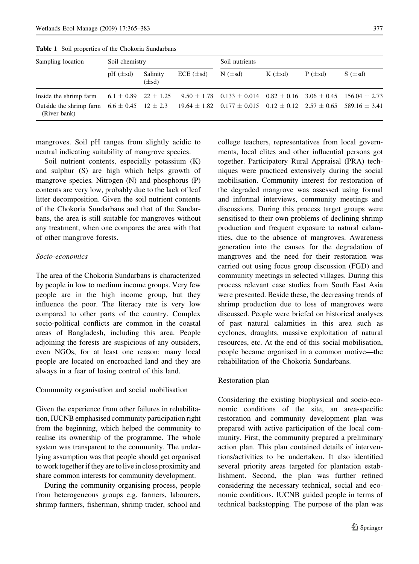| Sampling location                                                                                                                                        | Soil chemistry |                        |                   | Soil nutrients  |                 |                 |                 |  |
|----------------------------------------------------------------------------------------------------------------------------------------------------------|----------------|------------------------|-------------------|-----------------|-----------------|-----------------|-----------------|--|
|                                                                                                                                                          | $pH (\pm sd)$  | Salinity<br>$(\pm sd)$ | $ECE$ ( $\pm$ sd) | $N$ ( $\pm$ sd) | $K$ ( $\pm$ sd) | $P$ ( $\pm$ sd) | $S$ ( $\pm$ sd) |  |
| Inside the shrimp farm $6.1 \pm 0.89$ $22 \pm 1.25$ $9.50 \pm 1.78$ $0.133 \pm 0.014$ $0.82 \pm 0.16$ $3.06 \pm 0.45$ $156.04 \pm 2.73$                  |                |                        |                   |                 |                 |                 |                 |  |
| Outside the shrimp farm $6.6 \pm 0.45$ $12 \pm 2.3$ $19.64 \pm 1.82$ $0.177 \pm 0.015$ $0.12 \pm 0.12$ $2.57 \pm 0.65$ $589.16 \pm 3.41$<br>(River bank) |                |                        |                   |                 |                 |                 |                 |  |

<span id="page-12-0"></span>Table 1 Soil properties of the Chokoria Sundarbans

mangroves. Soil pH ranges from slightly acidic to neutral indicating suitability of mangrove species.

Soil nutrient contents, especially potassium (K) and sulphur (S) are high which helps growth of mangrove species. Nitrogen (N) and phosphorus (P) contents are very low, probably due to the lack of leaf litter decomposition. Given the soil nutrient contents of the Chokoria Sundarbans and that of the Sandarbans, the area is still suitable for mangroves without any treatment, when one compares the area with that of other mangrove forests.

# Socio-economics

The area of the Chokoria Sundarbans is characterized by people in low to medium income groups. Very few people are in the high income group, but they influence the poor. The literacy rate is very low compared to other parts of the country. Complex socio-political conflicts are common in the coastal areas of Bangladesh, including this area. People adjoining the forests are suspicious of any outsiders, even NGOs, for at least one reason: many local people are located on encroached land and they are always in a fear of losing control of this land.

### Community organisation and social mobilisation

Given the experience from other failures in rehabilitation, IUCNB emphasised community participation right from the beginning, which helped the community to realise its ownership of the programme. The whole system was transparent to the community. The underlying assumption was that people should get organised to work together if they are to live in close proximity and share common interests for community development.

During the community organising process, people from heterogeneous groups e.g. farmers, labourers, shrimp farmers, fisherman, shrimp trader, school and college teachers, representatives from local governments, local elites and other influential persons got together. Participatory Rural Appraisal (PRA) techniques were practiced extensively during the social mobilisation. Community interest for restoration of the degraded mangrove was assessed using formal and informal interviews, community meetings and discussions. During this process target groups were sensitised to their own problems of declining shrimp production and frequent exposure to natural calamities, due to the absence of mangroves. Awareness generation into the causes for the degradation of mangroves and the need for their restoration was carried out using focus group discussion (FGD) and community meetings in selected villages. During this process relevant case studies from South East Asia were presented. Beside these, the decreasing trends of shrimp production due to loss of mangroves were discussed. People were briefed on historical analyses of past natural calamities in this area such as cyclones, draughts, massive exploitation of natural resources, etc. At the end of this social mobilisation, people became organised in a common motive—the rehabilitation of the Chokoria Sundarbans.

### Restoration plan

Considering the existing biophysical and socio-economic conditions of the site, an area-specific restoration and community development plan was prepared with active participation of the local community. First, the community prepared a preliminary action plan. This plan contained details of interventions/activities to be undertaken. It also identified several priority areas targeted for plantation establishment. Second, the plan was further refined considering the necessary technical, social and economic conditions. IUCNB guided people in terms of technical backstopping. The purpose of the plan was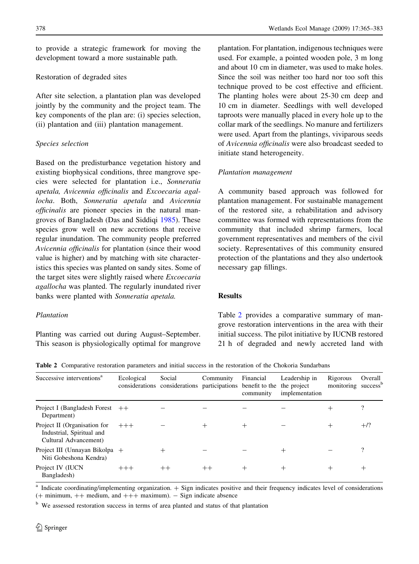to provide a strategic framework for moving the development toward a more sustainable path.

### Restoration of degraded sites

After site selection, a plantation plan was developed jointly by the community and the project team. The key components of the plan are: (i) species selection, (ii) plantation and (iii) plantation management.

### Species selection

Based on the predisturbance vegetation history and existing biophysical conditions, three mangrove species were selected for plantation i.e., Sonneratia apetala, Avicennia officinalis and Excoecaria agallocha. Both, Sonneratia apetala and Avicennia officinalis are pioneer species in the natural mangroves of Bangladesh (Das and Siddiqi [1985](#page-17-0)). These species grow well on new accretions that receive regular inundation. The community people preferred Avicennia officinalis for plantation (since their wood value is higher) and by matching with site characteristics this species was planted on sandy sites. Some of the target sites were slightly raised where Excoecaria agallocha was planted. The regularly inundated river banks were planted with Sonneratia apetala.

# Plantation

Planting was carried out during August–September. This season is physiologically optimal for mangrove plantation. For plantation, indigenous techniques were used. For example, a pointed wooden pole, 3 m long and about 10 cm in diameter, was used to make holes. Since the soil was neither too hard nor too soft this technique proved to be cost effective and efficient. The planting holes were about 25-30 cm deep and 10 cm in diameter. Seedlings with well developed taproots were manually placed in every hole up to the collar mark of the seedlings. No manure and fertilizers were used. Apart from the plantings, viviparous seeds of Avicennia officinalis were also broadcast seeded to initiate stand heterogeneity.

### Plantation management

A community based approach was followed for plantation management. For sustainable management of the restored site, a rehabilitation and advisory committee was formed with representations from the community that included shrimp farmers, local government representatives and members of the civil society. Representatives of this community ensured protection of the plantations and they also undertook necessary gap fillings.

# Results

Table 2 provides a comparative summary of mangrove restoration interventions in the area with their initial success. The pilot initiative by IUCNB restored 21 h of degraded and newly accreted land with

Table 2 Comparative restoration parameters and initial success in the restoration of the Chokoria Sundarbans

| Successive interventions <sup>a</sup>                                              | Ecological<br>considerations | Social<br>considerations participations benefit to the | Community | Financial<br>community | Leadership in<br>the project<br>implementation | Rigorous<br>monitoring success <sup>b</sup> | Overall |
|------------------------------------------------------------------------------------|------------------------------|--------------------------------------------------------|-----------|------------------------|------------------------------------------------|---------------------------------------------|---------|
| Project I (Bangladesh Forest $++$<br>Department)                                   |                              |                                                        |           |                        |                                                |                                             | ?       |
| Project II (Organisation for<br>Industrial, Spiritual and<br>Cultural Advancement) | $+++$                        |                                                        | $^{+}$    | $^+$                   |                                                | $^+$                                        | $+1$ ?  |
| Project III (Unnayan Bikolpa +<br>Niti Gobeshona Kendra)                           |                              |                                                        |           |                        | $^{\mathrm{+}}$                                |                                             | ?       |
| Project IV (IUCN<br>Bangladesh)                                                    | $+++$                        | $^{++}$                                                | $^{++}$   |                        |                                                |                                             | +       |

Indicate coordinating/implementing organization. + Sign indicates positive and their frequency indicates level of considerations  $(+)$  minimum,  $++$  medium, and  $++$  maximum).  $-$  Sign indicate absence

<sup>b</sup> We assessed restoration success in terms of area planted and status of that plantation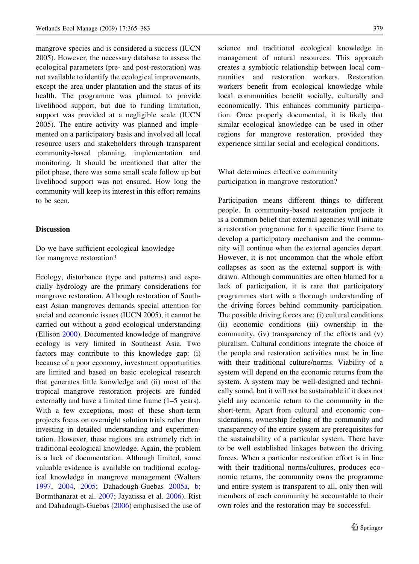mangrove species and is considered a success (IUCN 2005). However, the necessary database to assess the ecological parameters (pre- and post-restoration) was not available to identify the ecological improvements, except the area under plantation and the status of its health. The programme was planned to provide livelihood support, but due to funding limitation, support was provided at a negligible scale (IUCN 2005). The entire activity was planned and implemented on a participatory basis and involved all local resource users and stakeholders through transparent community-based planning, implementation and monitoring. It should be mentioned that after the pilot phase, there was some small scale follow up but livelihood support was not ensured. How long the community will keep its interest in this effort remains to be seen.

# **Discussion**

Do we have sufficient ecological knowledge for mangrove restoration?

Ecology, disturbance (type and patterns) and especially hydrology are the primary considerations for mangrove restoration. Although restoration of Southeast Asian mangroves demands special attention for social and economic issues (IUCN 2005), it cannot be carried out without a good ecological understanding (Ellison [2000](#page-17-0)). Documented knowledge of mangrove ecology is very limited in Southeast Asia. Two factors may contribute to this knowledge gap: (i) because of a poor economy, investment opportunities are limited and based on basic ecological research that generates little knowledge and (ii) most of the tropical mangrove restoration projects are funded externally and have a limited time frame (1–5 years). With a few exceptions, most of these short-term projects focus on overnight solution trials rather than investing in detailed understanding and experimentation. However, these regions are extremely rich in traditional ecological knowledge. Again, the problem is a lack of documentation. Although limited, some valuable evidence is available on traditional ecological knowledge in mangrove management (Walters [1997,](#page-18-0) [2004,](#page-18-0) [2005](#page-18-0); Dahadough-Guebas [2005a](#page-17-0), [b](#page-17-0); Bormthanarat et al. [2007;](#page-16-0) Jayatissa et al. [2006](#page-17-0)). Rist and Dahadough-Guebas ([2006\)](#page-18-0) emphasised the use of science and traditional ecological knowledge in management of natural resources. This approach creates a symbiotic relationship between local communities and restoration workers. Restoration workers benefit from ecological knowledge while local communities benefit socially, culturally and economically. This enhances community participation. Once properly documented, it is likely that similar ecological knowledge can be used in other regions for mangrove restoration, provided they experience similar social and ecological conditions.

What determines effective community participation in mangrove restoration?

Participation means different things to different people. In community-based restoration projects it is a common belief that external agencies will initiate a restoration programme for a specific time frame to develop a participatory mechanism and the community will continue when the external agencies depart. However, it is not uncommon that the whole effort collapses as soon as the external support is withdrawn. Although communities are often blamed for a lack of participation, it is rare that participatory programmes start with a thorough understanding of the driving forces behind community participation. The possible driving forces are: (i) cultural conditions (ii) economic conditions (iii) ownership in the community, (iv) transparency of the efforts and (v) pluralism. Cultural conditions integrate the choice of the people and restoration activities must be in line with their traditional culture/norms. Viability of a system will depend on the economic returns from the system. A system may be well-designed and technically sound, but it will not be sustainable if it does not yield any economic return to the community in the short-term. Apart from cultural and economic considerations, ownership feeling of the community and transparency of the entire system are prerequisites for the sustainability of a particular system. There have to be well established linkages between the driving forces. When a particular restoration effort is in line with their traditional norms/cultures, produces economic returns, the community owns the programme and entire system is transparent to all, only then will members of each community be accountable to their own roles and the restoration may be successful.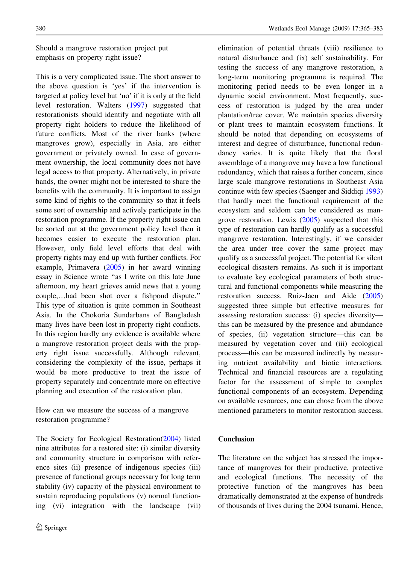Should a mangrove restoration project put emphasis on property right issue?

This is a very complicated issue. The short answer to the above question is 'yes' if the intervention is targeted at policy level but 'no' if it is only at the field level restoration. Walters [\(1997](#page-18-0)) suggested that restorationists should identify and negotiate with all property right holders to reduce the likelihood of future conflicts. Most of the river banks (where mangroves grow), especially in Asia, are either government or privately owned. In case of government ownership, the local community does not have legal access to that property. Alternatively, in private hands, the owner might not be interested to share the benefits with the community. It is important to assign some kind of rights to the community so that it feels some sort of ownership and actively participate in the restoration programme. If the property right issue can be sorted out at the government policy level then it becomes easier to execute the restoration plan. However, only field level efforts that deal with property rights may end up with further conflicts. For example, Primavera ([2005\)](#page-17-0) in her award winning essay in Science wrote ''as I write on this late June afternoon, my heart grieves amid news that a young couple,…had been shot over a fishpond dispute.'' This type of situation is quite common in Southeast Asia. In the Chokoria Sundarbans of Bangladesh many lives have been lost in property right conflicts. In this region hardly any evidence is available where a mangrove restoration project deals with the property right issue successfully. Although relevant, considering the complexity of the issue, perhaps it would be more productive to treat the issue of property separately and concentrate more on effective planning and execution of the restoration plan.

How can we measure the success of a mangrove restoration programme?

The Society for Ecological Restoration([2004](#page-18-0)) listed nine attributes for a restored site: (i) similar diversity and community structure in comparison with reference sites (ii) presence of indigenous species (iii) presence of functional groups necessary for long term stability (iv) capacity of the physical environment to sustain reproducing populations (v) normal functioning (vi) integration with the landscape (vii) elimination of potential threats (viii) resilience to natural disturbance and (ix) self sustainability. For testing the success of any mangrove restoration, a long-term monitoring programme is required. The monitoring period needs to be even longer in a dynamic social environment. Most frequently, success of restoration is judged by the area under plantation/tree cover. We maintain species diversity or plant trees to maintain ecosystem functions. It should be noted that depending on ecosystems of interest and degree of disturbance, functional redundancy varies. It is quite likely that the floral assemblage of a mangrove may have a low functional redundancy, which that raises a further concern, since large scale mangrove restorations in Southeast Asia continue with few species (Saenger and Siddiqi [1993\)](#page-18-0) that hardly meet the functional requirement of the ecosystem and seldom can be considered as mangrove restoration. Lewis ([2005\)](#page-17-0) suspected that this type of restoration can hardly qualify as a successful mangrove restoration. Interestingly, if we consider the area under tree cover the same project may qualify as a successful project. The potential for silent ecological disasters remains. As such it is important to evaluate key ecological parameters of both structural and functional components while measuring the restoration success. Ruiz-Jaen and Aide ([2005\)](#page-18-0) suggested three simple but effective measures for assessing restoration success: (i) species diversity this can be measured by the presence and abundance of species, (ii) vegetation structure—this can be measured by vegetation cover and (iii) ecological process—this can be measured indirectly by measuring nutrient availability and biotic interactions. Technical and financial resources are a regulating factor for the assessment of simple to complex functional components of an ecosystem. Depending on available resources, one can chose from the above mentioned parameters to monitor restoration success.

# Conclusion

The literature on the subject has stressed the importance of mangroves for their productive, protective and ecological functions. The necessity of the protective function of the mangroves has been dramatically demonstrated at the expense of hundreds of thousands of lives during the 2004 tsunami. Hence,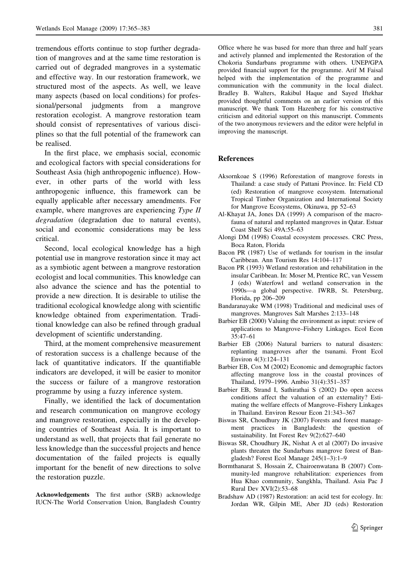<span id="page-16-0"></span>tremendous efforts continue to stop further degradation of mangroves and at the same time restoration is carried out of degraded mangroves in a systematic and effective way. In our restoration framework, we structured most of the aspects. As well, we leave many aspects (based on local conditions) for professional/personal judgments from a mangrove restoration ecologist. A mangrove restoration team should consist of representatives of various disciplines so that the full potential of the framework can be realised.

In the first place, we emphasis social, economic and ecological factors with special considerations for Southeast Asia (high anthropogenic influence). However, in other parts of the world with less anthropogenic influence, this framework can be equally applicable after necessary amendments. For example, where mangroves are experiencing Type II degradation (degradation due to natural events), social and economic considerations may be less critical.

Second, local ecological knowledge has a high potential use in mangrove restoration since it may act as a symbiotic agent between a mangrove restoration ecologist and local communities. This knowledge can also advance the science and has the potential to provide a new direction. It is desirable to utilise the traditional ecological knowledge along with scientific knowledge obtained from experimentation. Traditional knowledge can also be refined through gradual development of scientific understanding.

Third, at the moment comprehensive measurement of restoration success is a challenge because of the lack of quantitative indicators. If the quantifiable indicators are developed, it will be easier to monitor the success or failure of a mangrove restoration programme by using a fuzzy inference system.

Finally, we identified the lack of documentation and research communication on mangrove ecology and mangrove restoration, especially in the developing countries of Southeast Asia. It is important to understand as well, that projects that fail generate no less knowledge than the successful projects and hence documentation of the failed projects is equally important for the benefit of new directions to solve the restoration puzzle.

Acknowledgements The first author (SRB) acknowledge IUCN-The World Conservation Union, Bangladesh Country Office where he was based for more than three and half years and actively planned and implemented the Restoration of the Chokoria Sundarbans programme with others. UNEP/GPA provided financial support for the programme. Arif M Faisal helped with the implementation of the programme and communication with the community in the local dialect. Bradley B. Walters, Rakibul Haque and Sayed Iftekhar provided thoughtful comments on an earlier version of this manuscript. We thank Tom Hazenberg for his constructive criticism and editorial support on this manuscript. Comments of the two anonymous reviewers and the editor were helpful in improving the manuscript.

### References

- Aksornkoae S (1996) Reforestation of mangrove forests in Thailand: a case study of Pattani Province. In: Field CD (ed) Restoration of mangrove ecosystem. International Tropical Timber Organization and International Society for Mangrove Ecosystems, Okinawa, pp 52–63
- Al-Khayat JA, Jones DA (1999) A comparison of the macrofauna of natural and replanted mangroves in Qatar. Estuar Coast Shelf Sci 49A:55–63
- Alongi DM (1998) Coastal ecosystem processes. CRC Press, Boca Raton, Florida
- Bacon PR (1987) Use of wetlands for tourism in the insular Caribbean. Ann Tourism Res 14:104–117
- Bacon PR (1993) Wetland restoration and rehabilitation in the insular Caribbean. In: Moser M, Prentice RC, van Vessem J (eds) Waterfowl and wetland conservation in the 1990s—a global perspective. IWRB, St. Petersburg, Florida, pp 206–209
- Bandaranayake WM (1998) Traditional and medicinal uses of mangroves. Mangroves Salt Marshes 2:133–148
- Barbier EB (2000) Valuing the environment as input: review of applications to Mangrove–Fishery Linkages. Ecol Econ 35:47–61
- Barbier EB (2006) Natural barriers to natural disasters: replanting mangroves after the tsunami. Front Ecol Environ 4(3):124–131
- Barbier EB, Cox M (2002) Economic and demographic factors affecting mangrove loss in the coastal provinces of Thailand, 1979–1996. Ambio 31(4):351–357
- Barbier EB, Strand I, Sathirathai S (2002) Do open access conditions affect the valuation of an externality? Estimating the welfare effects of Mangrove–Fishery Linkages in Thailand. Environ Resour Econ 21:343–367
- Biswas SR, Choudhury JK (2007) Forests and forest management practices in Bangladesh: the question of sustainability. Int Forest Rev 9(2):627–640
- Biswas SR, Choudhury JK, Nishat A et al (2007) Do invasive plants threaten the Sundarbans mangrove forest of Bangladesh? Forest Ecol Manage 245(1–3):1–9
- Bormthanarat S, Hossain Z, Chairoenwatana B (2007) Community-led mangrove rehabilitation: experiences from Hua Khao community, Sangkhla, Thailand. Asia Pac J Rural Dev XVI(2):53–68
- Bradshaw AD (1987) Restoration: an acid test for ecology. In: Jordan WR, Gilpin ME, Aber JD (eds) Restoration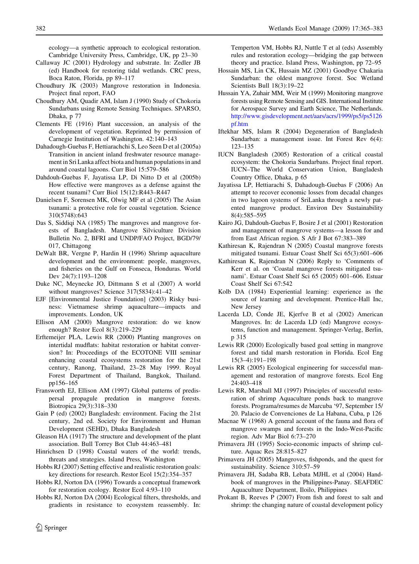<span id="page-17-0"></span>ecology—a synthetic approach to ecological restoration. Cambridge University Press, Cambridge, UK, pp 23–30

- Callaway JC (2001) Hydrology and substrate. In: Zedler JB (ed) Handbook for restoring tidal wetlands. CRC press, Boca Raton, Florida, pp 89–117
- Choudhury JK (2003) Mangrove restoration in Indonesia. Project final report, FAO
- Choudhury AM, Quadir AM, Islam J (1990) Study of Chokoria Sundarbans using Remote Sensing Techniques. SPARSO, Dhaka, p 77
- Clements FE (1916) Plant succession, an analysis of the development of vegetation. Reprinted by permission of Carnegie Institution of Washington. 42:140–143
- Dahadough-Guebas F, Hettiarachchi S, Leo Seen D et al (2005a) Transition in ancient inland freshwater resource management in Sri Lanka affect biota and human populations in and around coastal lagoons. Curr Biol 15:579–586
- Dahdouh-Guebas F, Jayatissa LP, Di Nitto D et al (2005b) How effective were mangroves as a defense against the recent tsunami? Curr Biol 15(12):R443–R447
- Danielsen F, Sorensen MK, Olwig MF et al (2005) The Asian tsunami: a protective role for coastal vegetation. Science 310(5748):643
- Das S, Siddiqi NA (1985) The mangroves and mangrove forests of Bangladesh. Mangrove Silviculture Division Bulletin No. 2, BFRI and UNDP/FAO Project, BGD/79/ 017, Chittagong
- DeWalt BR, Vergne P, Hardin H (1996) Shrimp aquaculture development and the environment: people, mangroves, and fisheries on the Gulf on Fonseca, Honduras. World Dev 24(7):1193–1208
- Duke NC, Meynecke JO, Dittmann S et al (2007) A world without mangroves? Science 317(5834):41–42
- EJF [Environmental Justice Foundation] (2003) Risky business: Vietnamese shrimp aquaculture—impacts and improvements. London, UK
- Ellison AM (2000) Mangrove restoration: do we know enough? Restor Ecol 8(3):219–229
- Erftemeijer PLA, Lewis RR (2000) Planting mangroves on intertidal mudflats: habitat restoration or habitat conversion? In: Proceedings of the ECOTONE VIII seminar enhancing coastal ecosystems restoration for the 21st century, Ranong, Thailand, 23–28 May 1999. Royal Forest Department of Thailand, Bangkok, Thailand. pp156–165
- Fransworth EJ, Ellison AM (1997) Global patterns of predispersal propagule predation in mangrove forests. Biotropica 29(3):318–330
- Gain P (ed) (2002) Bangladesh: environment. Facing the 21st century, 2nd ed. Society for Environment and Human Development (SEHD), Dhaka Bangladesh
- Gleason HA (1917) The structure and development of the plant association. Bull Torrey Bot Club 44:463–481
- Hinrichsen D (1998) Coastal waters of the world: trends, threats and strategies. Island Press, Washington
- Hobbs RJ (2007) Setting effective and realistic restoration goals: key directions for research. Restor Ecol 15(2):354–357
- Hobbs RJ, Norton DA (1996) Towards a conceptual framework for restoration ecology. Restor Ecol 4:93–110
- Hobbs RJ, Norton DA (2004) Ecological filters, thresholds, and gradients in resistance to ecosystem reassembly. In:

Temperton VM, Hobbs RJ, Nuttle T et al (eds) Assembly rules and restoration ecology—bridging the gap between theory and practice. Island Press, Washington, pp 72–95

- Hossain MS, Lin CK, Hussain MZ (2001) Goodbye Chakaria Sundarban: the oldest mangrove forest. Soc Wetland Scientists Bull 18(3):19–22
- Hussain YA, Zuhair MM, Weir M (1999) Monitoring mangrove forests using Remote Sensing and GIS. International Institute for Aerospace Survey and Earth Science, The Netherlands. [http://www.gisdevelopment.net/aars/acrs/1999/ps5/ps5126](http://www.gisdevelopment.net/aars/acrs/1999/ps5/ps5126pf.htm) [pf.htm](http://www.gisdevelopment.net/aars/acrs/1999/ps5/ps5126pf.htm)
- Iftekhar MS, Islam R (2004) Degeneration of Bangladesh Sundarban: a management issue. Int Forest Rev 6(4): 123–135
- IUCN Bangladesh (2005) Restoration of a critical coastal ecosystem: the Chokoria Sundarbans. Project final report. IUCN–The World Conservation Union, Bangladesh Country Office, Dhaka, p 65
- Jayatissa LP, Hettiarachi S, Dahadough-Guebas F (2006) An attempt to recover economic losses from decadal changes in two lagoon systems of SriLanka through a newly patented mangrove product. Environ Dev Sustainability 8(4):585–595
- Kairo JG, Dahdouh-Guebas F, Bosire J et al (2001) Restoration and management of mangrove systems—a lesson for and from East African region. S Afr J Bot 67:383–389
- Kathiresan K, Rajendran N (2005) Coastal mangrove forests mitigated tsunami. Estuar Coast Shelf Sci 65(3):601–606
- Kathiresan K, Rajendran N (2006) Reply to 'Comments of Kerr et al. on 'Coastal mangrove forests mitigated tsunami'. Estuar Coast Shelf Sci 65 (2005) 601–606. Estuar Coast Shelf Sci 67:542
- Kolb DA (1984) Experiential learning: experience as the source of learning and development. Prentice-Hall Inc, New Jersey
- Lacerda LD, Conde JE, Kjerfve B et al (2002) American Mangroves. In: de Lacerda LD (ed) Mangrove ecosystems, function and management. Springer-Verlag, Berlin, p 315
- Lewis RR (2000) Ecologically based goal setting in mangrove forest and tidal marsh restoration in Florida. Ecol Eng 15(3–4):191–198
- Lewis RR (2005) Ecological engineering for successful management and restoration of mangrove forests. Ecol Eng 24:403–418
- Lewis RR, Marshall MJ (1997) Principles of successful restoration of shrimp Aquaculture ponds back to mangrove forests. Programa/resumes de Marcuba '97, September 15/ 20. Palacio de Convenciones de La Habana, Cuba, p 126
- Macnae W (1968) A general account of the fauna and flora of mangrove swamps and forests in the Indo-West-Pacific region. Adv Mar Biol 6:73–270
- Primavera JH (1995) Socio-economic impacts of shrimp culture. Aquac Res 28:815–827
- Primavera JH (2005) Mangroves, fishponds, and the quest for sustainability. Science 310:57–59
- Primavera JH, Sadaba RB, Lebata MJHL et al (2004) Handbook of mangroves in the Philippines-Panay. SEAFDEC Aquaculture Department, Iloilo, Philippines
- Prokant B, Reeves P (2007) From fish and forest to salt and shrimp: the changing nature of coastal development policy